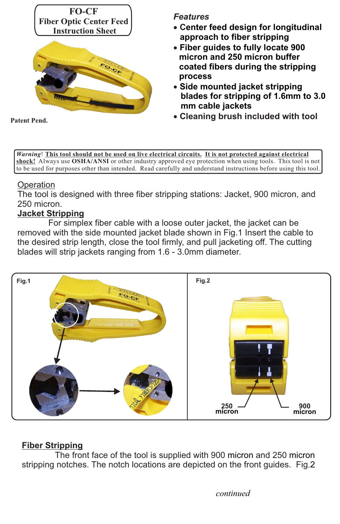

#### *Features*

- · **Center feed design for longitudinal approach to fiber stripping**
- · **Fiber guides to fully locate 900 micron and 250 micron buffer coated fibers during the stripping process**
- · **Side mounted jacket stripping blades for stripping of 1.6mm to 3.0 mm cable jackets**
- Patent Pend. **Patent Pend. Cleaning brush included with tool**

*Warning*! **This tool should not be used on live electrical circuits. It is not protected against electrical shock!** Always use **OSHA/ANSI** or other industry approved eye protection when using tools. This tool is not to be used for purposes other than intended. Read carefully and understand instructions before using this tool.

## **Operation**

The tool is designed with three fiber stripping stations: Jacket, 900 micron, and 250 micron.

## **Jacket Stripping**

For simplex fiber cable with a loose outer jacket, the jacket can be removed with the side mounted jacket blade shown in Fig.1 Insert the cable to the desired strip length, close the tool firmly, and pull jacketing off. The cutting blades will strip jackets ranging from 1.6 - 3.0mm diameter.



# **Fiber Stripping**

The front face of the tool is supplied with 900 micron and 250 micron stripping notches. The notch locations are depicted on the front guides. Fig.2